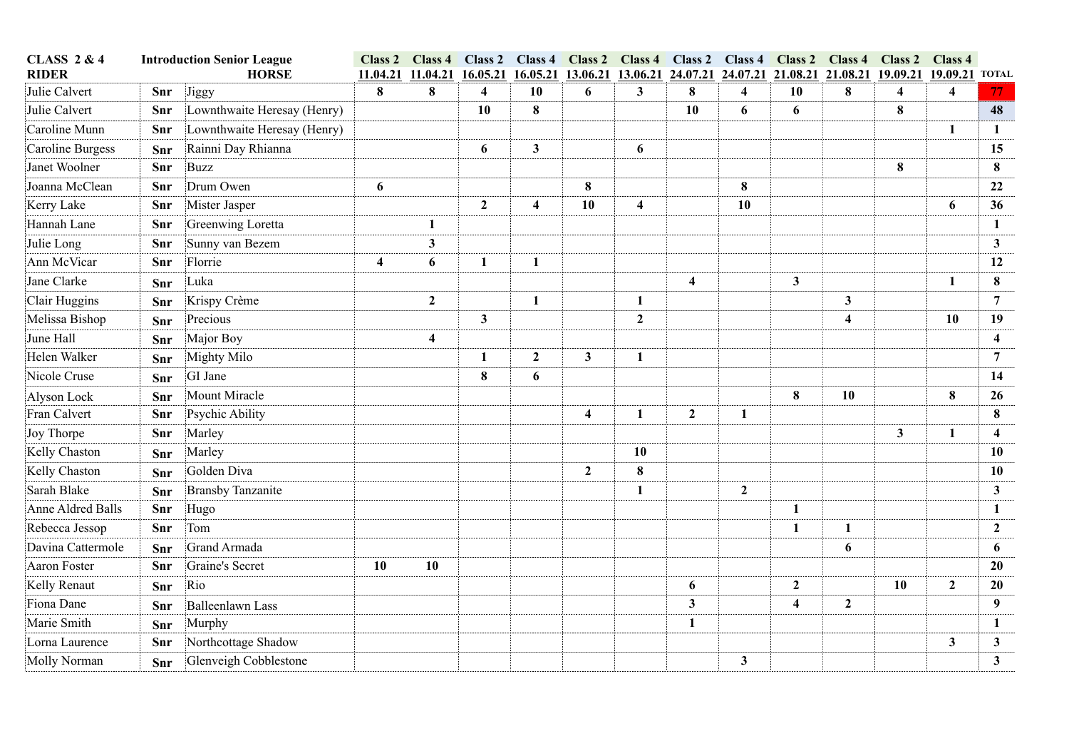| <b>CLASS 2 &amp; 4</b><br><b>Introduction Senior League</b><br><b>RIDER</b><br><b>HORSE</b> |     | Class 2<br>11.04.21         | 11.04.21                | Class 4 Class 2 Class 4<br>16.05.21 | 16.05.21                | 13.06.21                | 13.06.21                | 24.07.21                |                         |                         | Class 2 Class 4 Class 2 Class 4 Class 2 Class 4 Class 2 Class 4<br>24.07.21 21.08.21 21.08.21 | 19.09.21 19.09.21 TOTAL |                         |                         |              |
|---------------------------------------------------------------------------------------------|-----|-----------------------------|-------------------------|-------------------------------------|-------------------------|-------------------------|-------------------------|-------------------------|-------------------------|-------------------------|-----------------------------------------------------------------------------------------------|-------------------------|-------------------------|-------------------------|--------------|
| Julie Calvert                                                                               | Snr | Jiggy                       | 8                       | 8                                   | $\overline{\mathbf{4}}$ | 10                      | 6                       | 3                       | 8                       | $\overline{\mathbf{4}}$ | 10                                                                                            | 8                       | $\overline{\mathbf{4}}$ | $\overline{\mathbf{4}}$ | 77           |
| Julie Calvert                                                                               | Snr | Lownthwaite Heresay (Henry) |                         |                                     | 10                      | $\bf{8}$                |                         |                         | 10                      | 6                       | 6                                                                                             |                         | 8                       |                         | 48           |
| Caroline Munn                                                                               | Snr | Lownthwaite Heresay (Henry) |                         |                                     |                         |                         |                         |                         |                         |                         |                                                                                               |                         |                         | $\mathbf{1}$            | $\mathbf{1}$ |
| <b>Caroline Burgess</b>                                                                     | Snr | Rainni Day Rhianna          |                         |                                     | 6                       | $\mathbf{3}$            |                         | 6                       |                         |                         |                                                                                               |                         |                         |                         | 15           |
| Janet Woolner                                                                               | Snr | <b>Buzz</b>                 |                         |                                     |                         |                         |                         |                         |                         |                         |                                                                                               |                         | $\bf{8}$                |                         | 8            |
| Joanna McClean                                                                              | Snr | Drum Owen                   | 6                       |                                     |                         |                         | $\bf{8}$                |                         |                         | 8                       |                                                                                               |                         |                         |                         | 22           |
| Kerry Lake                                                                                  | Snr | Mister Jasper               |                         |                                     | $\overline{2}$          | $\overline{\mathbf{4}}$ | 10                      | $\overline{\mathbf{4}}$ |                         | 10                      |                                                                                               |                         |                         | 6                       | 36           |
| Hannah Lane                                                                                 | Snr | Greenwing Loretta           |                         | $\mathbf{1}$                        |                         |                         |                         |                         |                         |                         |                                                                                               |                         |                         |                         | 1            |
| Julie Long                                                                                  | Snr | Sunny van Bezem             |                         | $\mathbf{3}$                        |                         |                         |                         |                         |                         |                         |                                                                                               |                         |                         |                         | 3            |
| Ann McVicar                                                                                 | Snr | Florrie                     | $\overline{\mathbf{4}}$ | 6                                   | 1                       | $\mathbf{1}$            |                         |                         |                         |                         |                                                                                               |                         |                         |                         | 12           |
| Jane Clarke                                                                                 | Snr | Luka                        |                         |                                     |                         |                         |                         |                         | $\overline{\mathbf{4}}$ |                         | $\mathbf{3}$                                                                                  |                         |                         | 1                       | 8            |
| Clair Huggins                                                                               | Snr | Krispy Crème                |                         | $\overline{2}$                      |                         | $\mathbf{1}$            |                         | 1                       |                         |                         |                                                                                               | $\mathbf{3}$            |                         |                         | 7            |
| Melissa Bishop                                                                              | Snr | Precious                    |                         |                                     | $\mathbf{3}$            |                         |                         | $\boldsymbol{2}$        |                         |                         |                                                                                               | 4                       |                         | <b>10</b>               | 19           |
| June Hall                                                                                   | Snr | Major Boy                   |                         | $\overline{\mathbf{4}}$             |                         |                         |                         |                         |                         |                         |                                                                                               |                         |                         |                         | 4            |
| Helen Walker                                                                                | Snr | Mighty Milo                 |                         |                                     | 1                       | $\overline{2}$          | $\mathbf{3}$            | $\mathbf{1}$            |                         |                         |                                                                                               |                         |                         |                         | 7            |
| Nicole Cruse                                                                                | Snr | GI Jane                     |                         |                                     | 8                       | 6                       |                         |                         |                         |                         |                                                                                               |                         |                         |                         | 14           |
| Alyson Lock                                                                                 | Snr | Mount Miracle               |                         |                                     |                         |                         |                         |                         |                         |                         | 8                                                                                             | 10                      |                         | 8                       | 26           |
| Fran Calvert                                                                                | Snr | Psychic Ability             |                         |                                     |                         |                         | $\overline{\mathbf{4}}$ | $\mathbf{1}$            | $\overline{2}$          | $\mathbf{1}$            |                                                                                               |                         |                         |                         | 8            |
| Joy Thorpe                                                                                  | Snr | Marley                      |                         |                                     |                         |                         |                         |                         |                         |                         |                                                                                               |                         | 3 <sup>1</sup>          | -1                      | 4            |
| Kelly Chaston                                                                               | Snr | Marley                      |                         |                                     |                         |                         |                         | 10                      |                         |                         |                                                                                               |                         |                         |                         | 10           |
| Kelly Chaston                                                                               | Snr | Golden Diva                 |                         |                                     |                         |                         | $\mathbf{2}$            | 8                       |                         |                         |                                                                                               |                         |                         |                         | 10           |
| Sarah Blake                                                                                 | Snr | <b>Bransby Tanzanite</b>    |                         |                                     |                         |                         |                         | $\mathbf{1}$            |                         | $\boldsymbol{2}$        |                                                                                               |                         |                         |                         | 3            |
| <b>Anne Aldred Balls</b>                                                                    | Snr | Hugo                        |                         |                                     |                         |                         |                         |                         |                         |                         | 1                                                                                             |                         |                         |                         | 1            |
| Rebecca Jessop                                                                              | Snr | Tom                         |                         |                                     |                         |                         |                         |                         |                         |                         | $\mathbf{1}$                                                                                  | $\mathbf{1}$            |                         |                         | $\mathbf{2}$ |
| Davina Cattermole                                                                           | Snr | Grand Armada                |                         |                                     |                         |                         |                         |                         |                         |                         |                                                                                               | 6                       |                         |                         | 6            |
| Aaron Foster                                                                                | Snr | Graine's Secret             | 10                      | 10                                  |                         |                         |                         |                         |                         |                         |                                                                                               |                         |                         |                         | 20           |
| Kelly Renaut                                                                                | Snr | Rio                         |                         |                                     |                         |                         |                         |                         | 6                       |                         | $\mathbf{2}$                                                                                  |                         | 10                      | $\overline{2}$          | 20           |
| Fiona Dane                                                                                  | Snr | <b>Balleenlawn Lass</b>     |                         |                                     |                         |                         |                         |                         | $\mathbf{3}$            |                         | $\overline{\mathbf{4}}$                                                                       | $\boldsymbol{2}$        |                         |                         | 9            |
| Marie Smith                                                                                 | Snr | Murphy                      |                         |                                     |                         |                         |                         |                         | 1                       |                         |                                                                                               |                         |                         |                         | $\mathbf{1}$ |
| Lorna Laurence                                                                              | Snr | Northcottage Shadow         |                         |                                     |                         |                         |                         |                         |                         |                         |                                                                                               |                         |                         | 3 <sup>1</sup>          | 3            |
| Molly Norman                                                                                | Snr | Glenveigh Cobblestone       |                         |                                     |                         |                         |                         |                         |                         | $\overline{\mathbf{3}}$ |                                                                                               |                         |                         |                         | $\mathbf{3}$ |